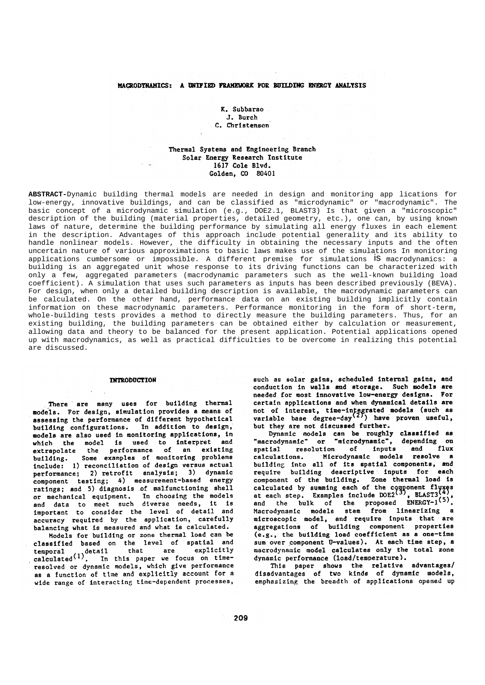# MACRODYRAHICS: A UNIFIED FRAMEWORK FOR BUILDING ENERGY ANALYSIS

K. Subbarao J. Burch C. Christensen

# Thermal Systems and Engineering Branch Solar Energy Research Institute 1617 Cole Blvd. Golden, CO 80401

ABSTRACT-Dynamic building thermal models are needed in design and monitoring app lications for low-energy, innovative buildings, and can be classified as "microdynamic" or "macrodynamic". The basic concept of a microdynamic simulation (e.g., DOE2.1, BLAST3) Is that given a "microscopic" description of the building (material properties, detailed geometry, etc.), one can, by using known laws of nature, determine the building performance by simulating all energy fluxes in each element in the description. Advantages of this approach include potential generality and its ability to handle nonlinear models. However, the difficulty in obtaining the necessary inputs and the often uncertain nature of various approximations to basic laws makes use of the simulations In monitoring applications cumbersome or impossible. A different premise for simulations *iS* macrodynamics: a building is an aggregated unit whose response to its driving functions can be characterized with only a few, aggregated parameters (macrodynamic parameters such as the well-known building load coefficient). A simulation that uses such parameters as inputs has been described previously (BEVA). For design, when only a detailed building description is available, the macrodynamic parameters can be calculated. On the other hand, performance data on an existing building implicitly contain information on these macrodynamic parameters. Performance monitoring in the form of short-term, whole-building tests provides a method to directly measure the building parameters. Thus, for an existing building, the building parameters can be obtained either by calculation or measurement, allowing data and theory to be balanced for the present application. Potential applications opened up with macrodynamics, as well as practical difficulties to be overcome in realizing this potential hezunzib era

#### **INTRODUCTION**

There are many uses for building thermal models. For design, simulation provides a means of assessing the performance of different hypothetical building configurations. In addition to design, models are also used in monitoring applications, in which the model is used to interpret and extrapolate the performance of an existing Some examples of monitoring problems building. include: 1) reconciliation of design versus actual performance; 2) retrofit analysis; 3) dynamic component testing; 4) measurement-based energy ratings: and 5) diagnosis of malfunctioning shell or mechanical equipment. In choosing the models and data to meet such diverse needs, it is important to consider the level of detail and accuracy required by the application, carefully balancing what is measured and what is calculated.

Models for building or zone thermal load can be classified based on the level of spatial and temporal detail that are explicitly<br>calculated<sup>(1)</sup>. In this paper we focus on timeresolved or dynamic models, which give performance as a function of time and explicitly account for a wide range of interacting time-dependent processes,

such as solar gains, scheduled internal gains, and conduction in walls and storage. Such models are needed for most innovative low-energy designs. For certain applications and when dynamical details are not of interest, time-integrated models (such as<br>variable base degree-day<sup>(2)</sup>) have proven useful, but they are not discussed further.

Dynamic models can be roughly classified as "macrodynamic" or "microdynamic", depending on resolution of inputs flux and spatial calculations. Microdynamic models resolve a building into all of its spatial components, and require building descriptive inputs for each<br>component of the building. Zone thermal load is calculated by summing each of the component fluxes<br>at each step. Examples include  $DOE2^{\binom{3}{3}}$ , BLAST3<sup>(4)</sup>, and the bulk of the proposed ENERGY-1<sup>(5)</sup>. Macrodynamic models stem from linearizing a microscopic model, and require inputs that are aggregations of building component properties (e.g., the building load coefficient as a one-time sum over component U-values). At each time step, a macrodynamic model calculates only the total zone dynamic performance (load/temperature).

This paper shows the relative advantages/ disadvantages of two kinds of dynamic models, emphasizing the breadth of applications opened up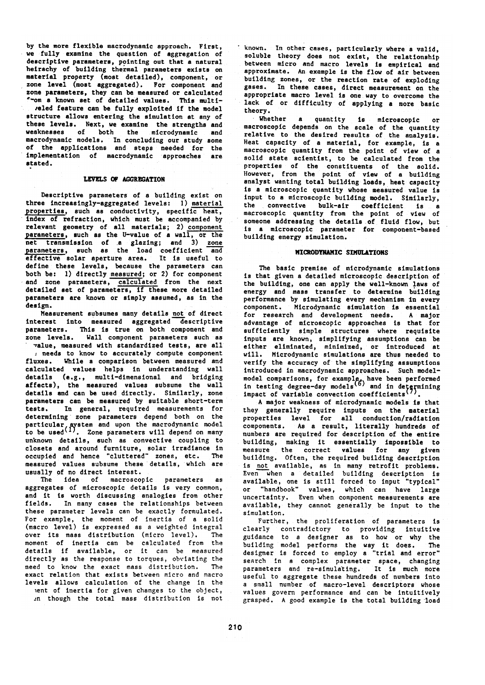by the more flexible macrodynamic approach. First, we fully examine the question of aggregation of descriptive parameters, pointing out that a natural heirachy of building thermal parameters exists on material property (most detailed), component, or zone level (most aggregated). For component and zone parameters, they can be measured or calculated -om a known set of detailed values. This multireled feature can be fully exploited if the model structure allows entering the simulation at any of these levels. Next, we examine the strengths and weaknesses of both the microdynamic and macrodynamic models. In concluding our study some of the applications and steps needed for the implementation of macrodynamic approaches are stated.

## LEVELS OF AGGREGATION

Descriptive parameters of a building exist on three increasingly-aggregated levels: 1) material properties, such as conductivity, specific heat, index of refraction, which must be accompanied by relevant geometry of all materials; 2) component parameters, such as the U-value of a wall, or the net transmission of a glazing; and 3) zone<br>parameters, such as the load coefficient and effective solar aperture area. It is useful to define these levels, because the parameters can both be: 1) directly measured; or 2) for component and zone parameters, calculated from the next detailed set of parameters, if these more detailed parameters are known or simply assumed, as in the design.

Measurement subsumes many details not of direct interest into measured aggregated descriptive parameters. This is true on both component and zone levels. Wall component parameters such as value, measured with standardized tests, are all

: needs to know to accurately compute component fluxes. While a comparison between measured and calculated values helps in understanding wall details (e.g., multi-dimensional and bridging affects), the measured values subsume the wall details and can be used directly. Similarly, zone parameters can be measured by suitable short-term In general, required measurements for tests. determining zone parameters depend both on the particular system and upon the macrodynamic model<br>to be used<sup>(1)</sup>. Zone parameters will depend on many unknown details, such as convective coupling to closets and around furniture, solar irradiance in<br>occupied and hence "cluttered" zones, etc. The measured values subsume these details, which are usually of no direct interest.

The idea of macroscopic parameters as<br>aggregates of microscopic details is very common, and it is worth discussing analogies from other fields. In many cases the relationships between these parameter levels can be exactly formulated. For example, the moment of inertia of a solid (macro level) is expressed as a weighted integral over its mass distribution (micro level). The moment of inertia can be calculated from the details if available, or it can be measured directly as the response to torques, obviating the need to know the exact mass distribution. The exact relation that exists between micro and macro levels allows calculation of the change in the ent of inertia for given changes to the object, in though the total mass distribution is not

known. In other cases, particularly where a valid. soluble theory does not exist, the relationship<br>between micro and macro levels is empirical and approximate. An example is the flow of air between building zones, or the reaction rate of exploding gases. In these cases, direct measurement on the appropriate macro level is one way to overcome the lack of or difficulty of applying a more basic theory.

Whether a quantity is microscopic or<br>macroscopic depends on the scale of the quantity  $or$ relative to the desired results of the analysis. Heat capacity of a material, for example, is a macroscopic quantity from the point of view of a solid state scientist, to be calculated from the properties of the constituents of the solid. However, from the point of view of a building analyst wanting total building loads, heat capacity is a microscopic quantity whose measured value is input to a microscopic building model. Similarly, the convective bulk-air coefficient is a macroscopic quantity from the point of view of someone addressing the details of fluid flow, but is a microscopic parameter for component-based building energy simulation.

## MICRODYNAMIC SIMULATIONS

The basic premise of microdynamic simulations is that given a detailed microscopic description of the building, one can apply the well-known laws of energy and mass transfer to determine building performance by simulating every mechanism in every component. Microdynamic simulation is essential for research and development needs. A major advantage of microscopic approaches is that for sufficiently simple structures where requisite inputs are known, simplifying assumptions can be<br>either eliminated, minimized, or introduced at will. Microdynamic simulations are thus needed to verify the accuracy of the simplifying assumptions introduced in macrodynamic approaches. Such modelmodel comparisons, for example, have been performed<br>in testing degree-day models  $\binom{6}{0}$  and in determining<br>impact of variable convection coefficients  $\binom{7}{1}$ .

A major weakness of microdynamic models is that they generally require inputs on the material<br>properties level for all conduction/radiation components. As a result, literally hundreds of numbers are required for description of the entire building, making it essentially impossible to measure the correct values for any given building. Often, the required building description is not available, as in many retrofit problems. Even when a detailed building description is available, one is still forced to input "typical" or "handbook" values, which can have large<br>uncertainty. Even when component measurements are available, they cannot generally be input to the simulation.

Further, the proliferation of parameters is clearly contradictory to providing intuitive guidance to a designer as to how or why the building model performs the way it does. **The** designer is forced to employ a "trial and error" search in a complex parameter space, changing parameters and re-simulating. It is much more useful to aggregate these hundreds of numbers into a small number of macro-level descriptors whose values govern performance and can be intuitively grasped. A good example is the total building load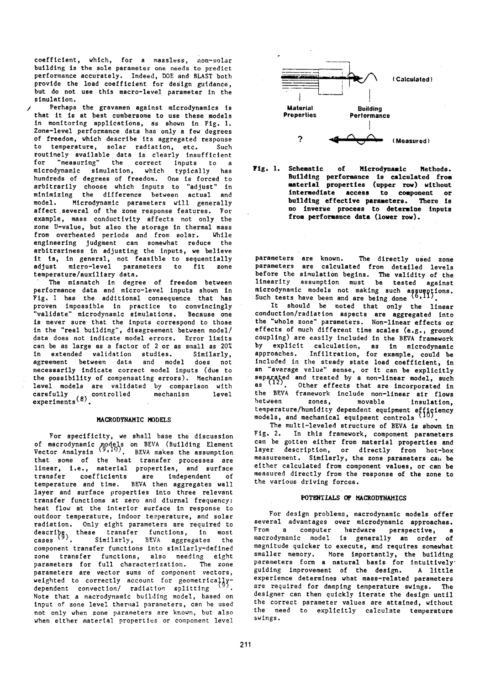coefficient, which, for a massless, non-solar<br>building is the sole parameter one needs to predict performance accurately. Indeed, DOE and BLAST both provide the load coefficient for design guidance, but do not use this macro-level parameter in the simulation.

Perhaps the gravamen against microdynamics is that it is at best cumbersome to use these models in monitoring applications, as shown in Fig. 1. Zone-level performance data has only a few degrees of freedom, which describe its aggregated response to temperature, solar radiation, etc. Such<br>routinely available data is clearly insufficient for "measuring" the correct inputs to a microdynamic simulation, which typically has hundreds of degrees of freedom. One is forced to arbitrarily choose which inputs to "adjust" in minimizing the difference between actual and Microdynamic parameters will generally model. affect several of the zone response features. For example, mass conductivity affects not only the zone U-value, but also the storage in thermal mass from overheated periods and from solar. While engineering judgment can somewhat reduce the arbitrariness in adjusting the inputs, we believe it is, in general, not feasible to sequentially adiust micro-level parameters to fit zone temperature/auxiliary data.

The mismatch in degree of freedom between performance data and micro-level inputs shown in Fig. 1 has the additional consequence that has proven impossible in practice to convincingly<br>"validate" microdynamic simulations. Because one is never sure that the inputs correspond to those in the "real building", disagreement between model/ data does not indicate model errors. Error limits can be as large as a factor of 2 or as small as 20% in extended validation studies. Similarly. agreement between data and model does not necessarily indicate correct model inputs (due to the possibility of compensating errors). Mechanism level models are validated by comparison with carefully<br>experiments<sup>(8)</sup>. mechanism level

### MACRODYNAMIC MODELS

For specificity, we shall base the discussion of macrodynamic models on BEVA (Building Element<br>Vector Analysis  $\binom{9,10}{7}$ . BEVA makes the assumption that some of the heat transfer processes are linear, i.e., material properties, and surface transfer coefficients are independent  $\circ$  f temperature and time. BEVA then aggregates wall layer and surface properties into three relevant transfer functions at zero and diurnal frequency: heat flow at the interior surface in response to outdoor temperature, indoor temperature, and solar radiation. Only eight parameters are required to describe, these transfer functions, in most<br>cases (9). Similarly, BEVA aggregates the Similarly, BEVA aggregates the component transfer functions into similarly-defined zone transfer functions, also needing eight parameters for full characterization. The zone parameters are vector sums of component vectors, weighted to correctly account for geometrically-<br>dependent convection/ radiation splitting (9). Note that a macrodynamic building model, based on input of zone level thermal parameters, can be used not only when zone parameters are known, but also when either material properties or component level



Fig. 1. Schematic of Microdynamic Methods. Building performance is calculated from material properties (upper row) without intermediate access to component or building effective parameters. There is no inverse process to determine inputs from performance data (lower row).

parameters are known. The directly used zone parameters are calculated from detailed levels before the simulation begins. The validity of the<br>linearity assumption must be tested against microdynamic models not making such assumptions.<br>Such tests have been and are being done (6,11).

It should be noted that only the linear conduction/radiation aspects are aggregated into the "whole zone" parameters. Non-linear effects or effects of much different time scales (e.g., ground coupling) are easily included in the BEVA framework by explicit calculation, as in microdynamic approaches. Infiltration, for example, could be included in the steady state load coefficient, in an "average value" sense, or it can be explicitly separated and treated by a non-linear model, such<br>as (12). Other effects that are incorporated in the BEVA framework include non-linear air flows movable insulation, between zones, temperature/humidity dependent equipment efficiency<br>models, and mechanical equipment controls (10).

The multi-leveled structure of BEVA is shown in Fig. 2. In this framework, component parameters can be gotten either from material properties and layer description, or directly from hot-box measurement. Similarly, the zone parameters can be either calculated from component values, or can be measured directly from the response of the zone to the various driving forces.

# POTENTIALS OF MACRODYNAMICS

For design problems, macrodynamic models offer several advantages over microdynamic approaches. From a computer hardware perspective,  $\overline{\mathbf{a}}$ macrodynamic model is generally an order of magnitude quicker to execute, and requires somewhat smaller memory. More importantly, the building parameters form a natural basis for intuitively guiding improvement of the design. A little experience determines what mass-related parameters are required for damping temperature swings. The designer can then quickly iterate the design until the correct parameter values are attained, without the need to explicitly calculate temperature swings.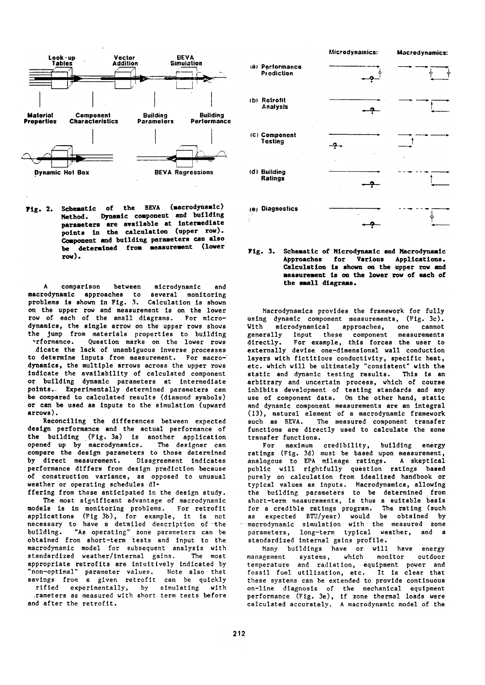

Schematic of the BEVA (macrodynamic) **Fig. 2.** Method. Dynamic component and building parameters are available at intermediate points in the calculation (upper row). Component and building parameters can also be determined from measurement (lower  $row$ ).

A comparison between microdynamic and macrodynamic approaches to several monitoring problems is shown in Fig. 3. Calculation is shown on the upper row and measurement is on the lower row of each of the small diagrams. For microdynamics, the single arrow on the upper rows shows the jump from materials properties to building erformance. Question marks on the lower rows

dicate the lack of unambiguous inverse processes to determine inputs from measurement. For macrodynamics, the multiple arrows across the upper rows indicate the availability of calculated component or building dynamic parameters at intermediate points. Experimentally determined parameters can be compared to calculated results (diamond symbols) or can be used as inputs to the simulation (upward  $arrows$ ).

Reconciling the differences between expected design performance and the actual performance of the building (Fig. 3a) is another application<br>opened up by macrodynamics. The designer can compare the design parameters to those determined by direct measurement. Disagreement indicates performance differs from design prediction because of construction variance, as opposed to unusual weather or operating schedules di-

ffering from those anticipated in the design study. The most significant advantage of macrodynamic models is in monitoring problems. For retrofit applications (Fig 3b), for example, it is not necessary to have a detailed description of the "As operating" zone parameters can be building. obtained from short-term tests and input to the macrodynamic model for subsequent analysis with standardized weather/internal gains. The most appropriate retrofits are intuitively indicated by "non-optimal" parameter values. Note also that savings from a given retrofit can be quickly

rified experimentally, by simulating with .rameters as measured with short term tests before and after the retrofit.



Fig.  $3.$ Schematic of Microdynamic and Macrodynamic Approaches for Various Applications. Calculation is shown on the upper row and measurement is on the lower row of each of the small diagrams.

Macrodynamics provides the framework for fully using dynamic component measurements, (Fig. 3c). With microdynamical approaches, one cannot input these component measurements<br>For example, this forces the user to generally directly. externally devise one-dimensional wall conduction layers with fictitious conductivity, specific heat, etc. which will be ultimately "consistent" with the static and dynamic testing results. This is an arbitrary and uncertain process, which of course inhibits development of testing standards and any use of component data. On the other hand, static and dynamic component measurements are an integral (13), natural element of a macrodynamic framework such as BEVA. The measured component transfer functions are directly used to calculate the zone transfer functions.

For maximum credibility, building energy ratings (Fig. 3d) must be based upon measurement, analogous to EPA mileage ratings. A skeptical public will rightfully question ratings based purely on calculation from idealized handbook or typical values as inputs. Macrodynamics, allowing<br>the building parameters to be determined from short-term measurements, is thus a suitable basis for a credible ratings program. The rating (such<br>as expected BTU/year) would be obtained by<br>macrodynamic simulation with the measured zone parameters, long-term typical weather, and a standardized internal gains profile.

Many buildings have or will have energy systems, which management monitor outdoor temperature and radiation, equipment power and fossil fuel utilization, etc. It is clear that these systems can be extended to provide continuous on-line diagnosis of the mechanical equipment<br>performance (Fig. 3e), if zone thermal loads were calculated accurately. A macrodynamic model of the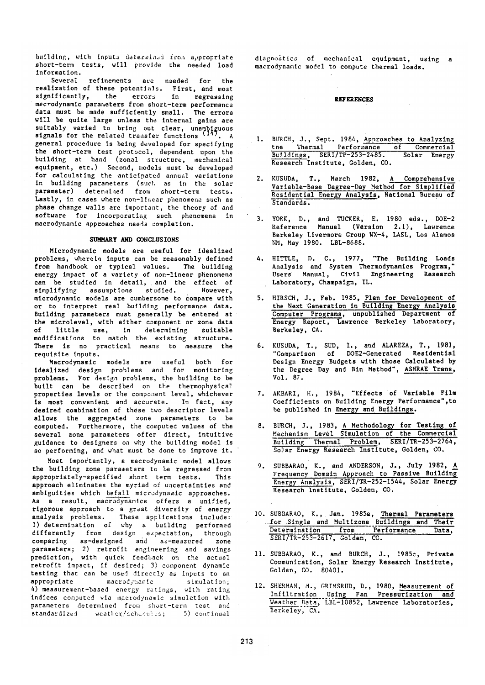building, with inputs determinad from appropriate short-term tests, will provide the needed load information.

Several refinements are needed for the realization of these potentials. First, and most<br>significantly, the errors in regressing mecrodynamic parameters from short-term performance data must be made sufficiently small. The errors will be quite large unless the internal gains are suitably varied to bring out clear, unambiguous<br>signals for the related transfer functions (14). A general procedure is being developed for specifying the short-term test protocol, dependent upon the building at hand (zonal structure, mechanical equipment, etc.) Second, models must be developed for calculating the anticipated annual variations in building parameters (such as in the solar parameter) determined from short-term tests. Lastly, in cases where non-linear phenomena such as phase change walls are important, the theory of and software for incorporating such phenomena in macrodynamic approaches needs completion.

#### SUMMARY AND CONCLUSIONS

Microdynamic models are useful for idealized problems, wherein inputs can be reasonably defined from handbook or typical values. The building energy impact of a variety of non-linear phenomena can be studied in detail, and the effect of However, simplifying assumptions studied. microdynamic models are cumbersome to compare with or to interpret real building performance data. Building parameters must generally be entered at the microlevel, with either component or zone data  $of$ little use, in determining suitable modifications to match the existing structure.<br>There is no practical means to measure the requisite inputs.

Macrodynamic models are useful both for idealized design problems and for monitoring<br>problems. For design problems, the building to be built can be described on the thermophysical properties levels or the component level, whichever is most convenient and accurate. In fact, any<br>desired combination of these two descriptor levels allows the aggregated zone parameters to be computed. Furthermore, the computed values of the several zone parameters offer direct, intuitive guidance to designers on why the building model is so performing, and what must be done to improve it.

Most importantly, a macrodynamic model allows the building zone parameters to be regressed from appropriately-specified short term tests. This approach eliminates the myriad of uncertainties and ambiguities which befall microdynamic approaches. As a result, macrodynamics offers a unified, rigorous approach to a great diversity of energy analysis problems. These applications include:<br>1) determination of why a building performed<br>differently from design expectation, through comparing as-designed and as-measured zone<br>parameters; 2) retrofit engineering and savings<br>prediction, with quick feedback on the actual retrofit impact, if desired; 3) component dynamic testing that can be used directly as inputs to an appropriate macrodymamic simulation; 4) measurement-based energy ratings, with rating indices computed via macrodynamic simulation with parameters determined from short-term test and standardlzed weather/schedules; 5) continual

diagnostics of mechanical equipment, using a macrodynamic model to compute thermal loads.

## **REFERENCES**

 $\sim$ 

- 1. BURCH, J., Sept. 1984, Approaches to Analyzing<br>the Thermal Performance of Commercial Buildings, SERI/TP-253-2485. Solar Energy Research Institute, Golden, CO.
- 2. KUSUDA, T., March 1982, A Comprehensive<br>Variable-Base Degree-Day Method for Simplified Residential Energy Analysis, National Bureau of Standards.
- 3. YORK, D., and TUCKER, E. 1980 eds., DOE-2<br>Reference Manual (Version 2.1), Lawence Berkeley Livermore Group WX-4, LASL, Los Alamos NM, May 1980. LBL-8688.
- 4. HITTLE, D. C., 1977, "The Building Loads Analysis and System Thermodynamics Program," Users Manual, Civil Engineering Research Laboratory, Champaign, IL.
- 5. HIRSCH, J., Feb. 1985, Plan for Development of<br>the Next Generation in Building Energy Analysis Computer Programs, unpublished Department of Energy Report, Lawrence Berkeley Laboratory, Berkeley, CA.
- 6. KUSUDA, T., SUD, I., and ALAREZA, T., 1981,<br>"Comparison of DOE2-Generated Residential Design Energy Budgets with those Calculated by the Degree Day and Bin Method", ASHRAE Trans,  $Vol. 87.$
- 7. AKBARI, H., 1984, "Effects of Variable Film Coefficients on Building Energy Performance", to be published in Energy and Buildings.
- 8. BURCH, J., 1983, A Methodology for Testing of<br>Mechanism Level Simulation of the Commercial<br>Building Thermal Problem, SERI/TR-253-2764, Solar Energy Research Institute, Golden, CO.
- 9. SUBBARAO, K., and ANDERSON, J., July 1982, A Frequency Domain Approach to Passive Building Energy Analysis, SERI/TR-252-1544, Solar Energy Research Institute, Golden, CO.
- 10. SUBBARAO, K., Jan. 1985a, Thermal Parameters for Single and Multizone Buildings and Their<br>Determination from Performance Data,<br>SERI/TR-253-2617, Golden, CO.
- 11. SUBBARAO, K., and BURCH, J., 1985c, Private<br>Communication, Solar Energy Research Institute, Golden, CO. 80401.
- 12. SHERMAN, M., GRIMSRUD, D., 1980, Measurement of Infiltration Using Fan Pressurization and<br>Weather Data, LBL-10852, Lawrence Laboratories,<br>Rerkeley, CA.